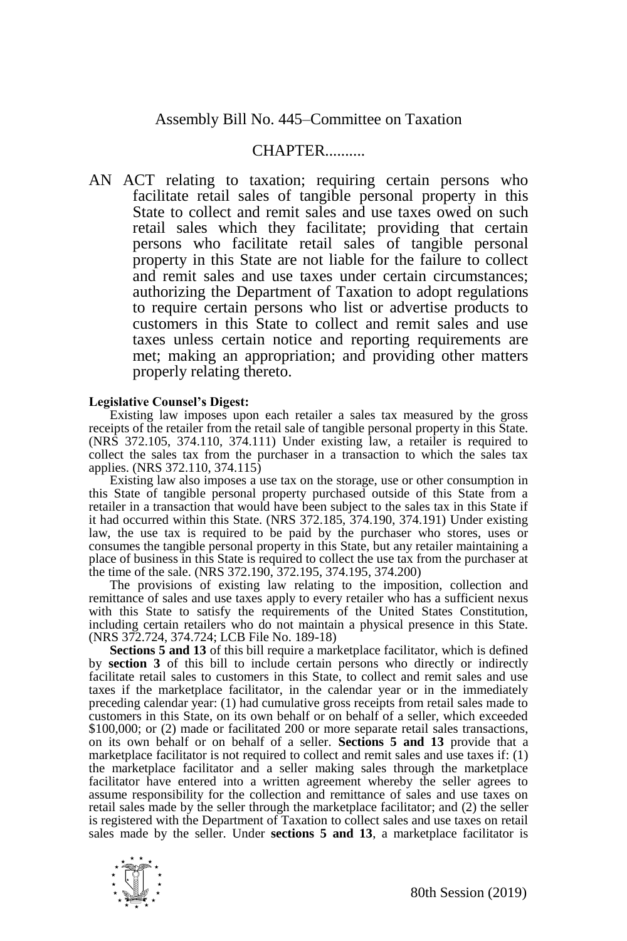## **CHAPTER**

AN ACT relating to taxation; requiring certain persons who facilitate retail sales of tangible personal property in this State to collect and remit sales and use taxes owed on such retail sales which they facilitate; providing that certain persons who facilitate retail sales of tangible personal property in this State are not liable for the failure to collect and remit sales and use taxes under certain circumstances; authorizing the Department of Taxation to adopt regulations to require certain persons who list or advertise products to customers in this State to collect and remit sales and use taxes unless certain notice and reporting requirements are met; making an appropriation; and providing other matters properly relating thereto.

## **Legislative Counsel's Digest:**

Existing law imposes upon each retailer a sales tax measured by the gross receipts of the retailer from the retail sale of tangible personal property in this State. (NRS 372.105, 374.110, 374.111) Under existing law, a retailer is required to collect the sales tax from the purchaser in a transaction to which the sales tax applies. (NRS 372.110, 374.115)

Existing law also imposes a use tax on the storage, use or other consumption in this State of tangible personal property purchased outside of this State from a retailer in a transaction that would have been subject to the sales tax in this State if it had occurred within this State. (NRS 372.185, 374.190, 374.191) Under existing law, the use tax is required to be paid by the purchaser who stores, uses or consumes the tangible personal property in this State, but any retailer maintaining a place of business in this State is required to collect the use tax from the purchaser at the time of the sale. (NRS 372.190, 372.195, 374.195, 374.200)

The provisions of existing law relating to the imposition, collection and remittance of sales and use taxes apply to every retailer who has a sufficient nexus with this State to satisfy the requirements of the United States Constitution, including certain retailers who do not maintain a physical presence in this State. (NRS 372.724, 374.724; LCB File No. 189-18)

**Sections 5 and 13** of this bill require a marketplace facilitator, which is defined by **section 3** of this bill to include certain persons who directly or indirectly facilitate retail sales to customers in this State, to collect and remit sales and use taxes if the marketplace facilitator, in the calendar year or in the immediately preceding calendar year: (1) had cumulative gross receipts from retail sales made to customers in this State, on its own behalf or on behalf of a seller, which exceeded \$100,000; or (2) made or facilitated 200 or more separate retail sales transactions, on its own behalf or on behalf of a seller. **Sections 5 and 13** provide that a marketplace facilitator is not required to collect and remit sales and use taxes if: (1) the marketplace facilitator and a seller making sales through the marketplace facilitator have entered into a written agreement whereby the seller agrees to assume responsibility for the collection and remittance of sales and use taxes on retail sales made by the seller through the marketplace facilitator; and (2) the seller is registered with the Department of Taxation to collect sales and use taxes on retail sales made by the seller. Under **sections 5 and 13**, a marketplace facilitator is

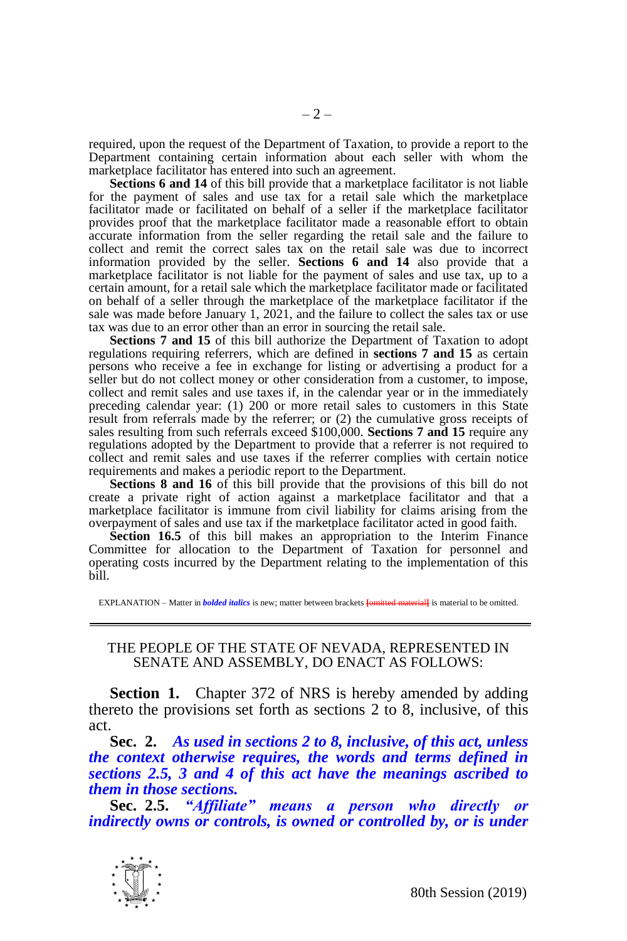required, upon the request of the Department of Taxation, to provide a report to the Department containing certain information about each seller with whom the marketplace facilitator has entered into such an agreement.

**Sections 6 and 14** of this bill provide that a marketplace facilitator is not liable for the payment of sales and use tax for a retail sale which the marketplace facilitator made or facilitated on behalf of a seller if the marketplace facilitator provides proof that the marketplace facilitator made a reasonable effort to obtain accurate information from the seller regarding the retail sale and the failure to collect and remit the correct sales tax on the retail sale was due to incorrect information provided by the seller. **Sections 6 and 14** also provide that a marketplace facilitator is not liable for the payment of sales and use tax, up to a certain amount, for a retail sale which the marketplace facilitator made or facilitated on behalf of a seller through the marketplace of the marketplace facilitator if the sale was made before January 1, 2021, and the failure to collect the sales tax or use tax was due to an error other than an error in sourcing the retail sale.

**Sections 7 and 15** of this bill authorize the Department of Taxation to adopt regulations requiring referrers, which are defined in **sections 7 and 15** as certain persons who receive a fee in exchange for listing or advertising a product for a seller but do not collect money or other consideration from a customer, to impose, collect and remit sales and use taxes if, in the calendar year or in the immediately preceding calendar year: (1) 200 or more retail sales to customers in this State result from referrals made by the referrer; or (2) the cumulative gross receipts of sales resulting from such referrals exceed \$100,000. **Sections 7 and 15** require any regulations adopted by the Department to provide that a referrer is not required to collect and remit sales and use taxes if the referrer complies with certain notice requirements and makes a periodic report to the Department.

**Sections 8 and 16** of this bill provide that the provisions of this bill do not create a private right of action against a marketplace facilitator and that a marketplace facilitator is immune from civil liability for claims arising from the overpayment of sales and use tax if the marketplace facilitator acted in good faith.

**Section 16.5** of this bill makes an appropriation to the Interim Finance Committee for allocation to the Department of Taxation for personnel and operating costs incurred by the Department relating to the implementation of this bill.

EXPLANATION – Matter in *bolded italics* is new; matter between brackets **[**omitted material**]** is material to be omitted.

## THE PEOPLE OF THE STATE OF NEVADA, REPRESENTED IN SENATE AND ASSEMBLY, DO ENACT AS FOLLOWS:

**Section 1.** Chapter 372 of NRS is hereby amended by adding thereto the provisions set forth as sections 2 to 8, inclusive, of this act.

**Sec. 2.** *As used in sections 2 to 8, inclusive, of this act, unless the context otherwise requires, the words and terms defined in sections 2.5, 3 and 4 of this act have the meanings ascribed to them in those sections.*

**Sec. 2.5.** *"Affiliate" means a person who directly or indirectly owns or controls, is owned or controlled by, or is under* 

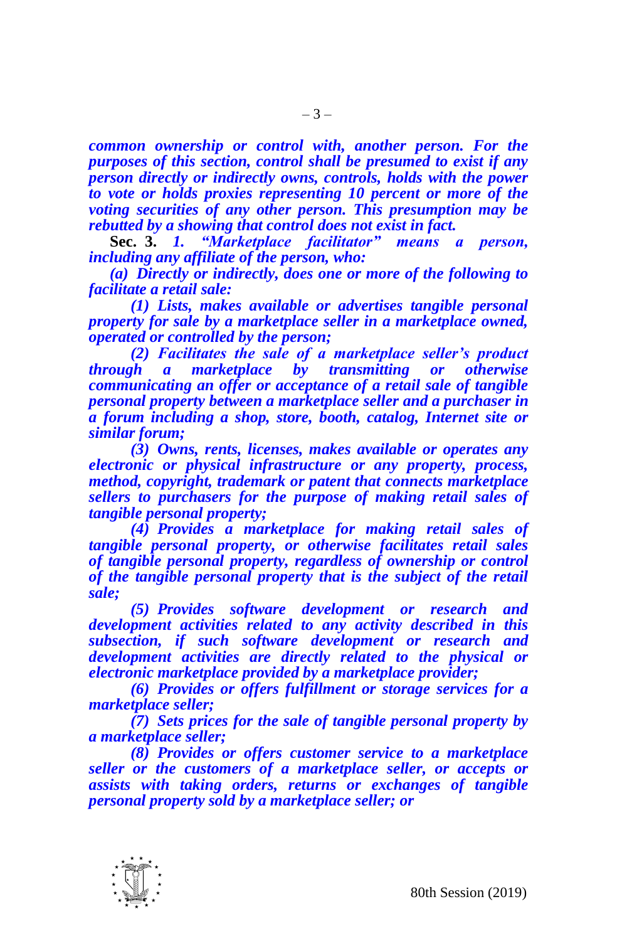*common ownership or control with, another person. For the purposes of this section, control shall be presumed to exist if any person directly or indirectly owns, controls, holds with the power to vote or holds proxies representing 10 percent or more of the voting securities of any other person. This presumption may be rebutted by a showing that control does not exist in fact.*

**Sec. 3.** *1. "Marketplace facilitator" means a person, including any affiliate of the person, who:*

*(a) Directly or indirectly, does one or more of the following to facilitate a retail sale:*

*(1) Lists, makes available or advertises tangible personal property for sale by a marketplace seller in a marketplace owned, operated or controlled by the person;*

*(2) Facilitates the sale of a marketplace seller's product marketplace by transmitting or otherwise communicating an offer or acceptance of a retail sale of tangible personal property between a marketplace seller and a purchaser in a forum including a shop, store, booth, catalog, Internet site or similar forum;* 

*(3) Owns, rents, licenses, makes available or operates any electronic or physical infrastructure or any property, process, method, copyright, trademark or patent that connects marketplace sellers to purchasers for the purpose of making retail sales of tangible personal property;*

*(4) Provides a marketplace for making retail sales of tangible personal property, or otherwise facilitates retail sales of tangible personal property, regardless of ownership or control of the tangible personal property that is the subject of the retail sale;*

*(5) Provides software development or research and development activities related to any activity described in this subsection, if such software development or research and development activities are directly related to the physical or electronic marketplace provided by a marketplace provider;*

*(6) Provides or offers fulfillment or storage services for a marketplace seller;*

*(7) Sets prices for the sale of tangible personal property by a marketplace seller;*

*(8) Provides or offers customer service to a marketplace seller or the customers of a marketplace seller, or accepts or assists with taking orders, returns or exchanges of tangible personal property sold by a marketplace seller; or*

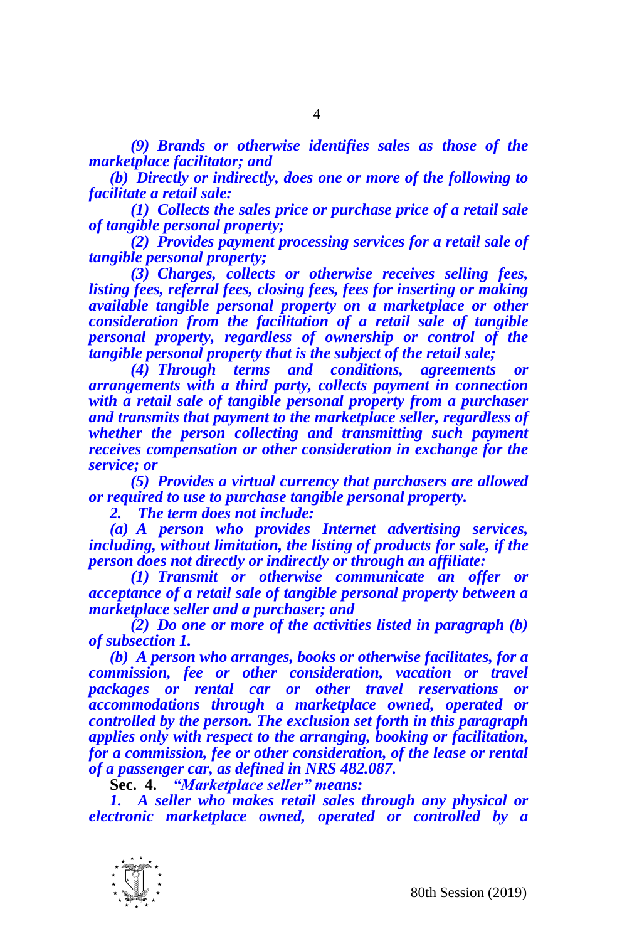*(9) Brands or otherwise identifies sales as those of the marketplace facilitator; and*

*(b) Directly or indirectly, does one or more of the following to facilitate a retail sale:*

*(1) Collects the sales price or purchase price of a retail sale of tangible personal property;*

*(2) Provides payment processing services for a retail sale of tangible personal property;*

*(3) Charges, collects or otherwise receives selling fees, listing fees, referral fees, closing fees, fees for inserting or making available tangible personal property on a marketplace or other consideration from the facilitation of a retail sale of tangible personal property, regardless of ownership or control of the tangible personal property that is the subject of the retail sale;*

*(4) Through terms and conditions, agreements or arrangements with a third party, collects payment in connection with a retail sale of tangible personal property from a purchaser and transmits that payment to the marketplace seller, regardless of whether the person collecting and transmitting such payment receives compensation or other consideration in exchange for the service; or*

*(5) Provides a virtual currency that purchasers are allowed or required to use to purchase tangible personal property.*

*2. The term does not include:*

*(a) A person who provides Internet advertising services, including, without limitation, the listing of products for sale, if the person does not directly or indirectly or through an affiliate:*

*(1) Transmit or otherwise communicate an offer or acceptance of a retail sale of tangible personal property between a marketplace seller and a purchaser; and*

*(2) Do one or more of the activities listed in paragraph (b) of subsection 1.*

*(b) A person who arranges, books or otherwise facilitates, for a commission, fee or other consideration, vacation or travel packages or rental car or other travel reservations or accommodations through a marketplace owned, operated or controlled by the person. The exclusion set forth in this paragraph applies only with respect to the arranging, booking or facilitation, for a commission, fee or other consideration, of the lease or rental of a passenger car, as defined in NRS 482.087.*

**Sec. 4.** *"Marketplace seller" means:*

*1. A seller who makes retail sales through any physical or electronic marketplace owned, operated or controlled by a* 

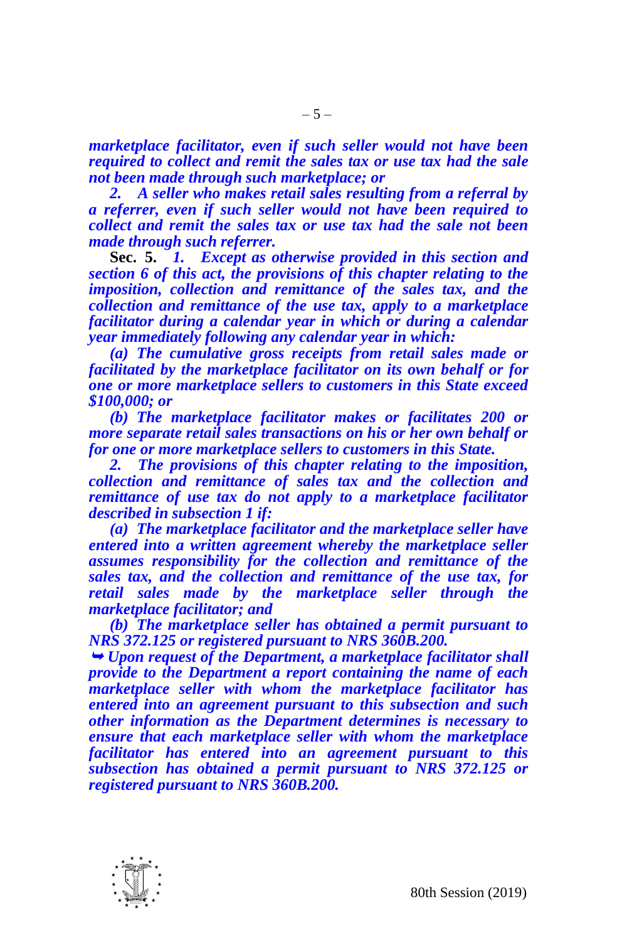*marketplace facilitator, even if such seller would not have been required to collect and remit the sales tax or use tax had the sale not been made through such marketplace; or*

*2. A seller who makes retail sales resulting from a referral by a referrer, even if such seller would not have been required to collect and remit the sales tax or use tax had the sale not been made through such referrer.*

**Sec. 5.** *1. Except as otherwise provided in this section and section 6 of this act, the provisions of this chapter relating to the imposition, collection and remittance of the sales tax, and the collection and remittance of the use tax, apply to a marketplace facilitator during a calendar year in which or during a calendar year immediately following any calendar year in which:*

*(a) The cumulative gross receipts from retail sales made or facilitated by the marketplace facilitator on its own behalf or for one or more marketplace sellers to customers in this State exceed \$100,000; or*

*(b) The marketplace facilitator makes or facilitates 200 or more separate retail sales transactions on his or her own behalf or for one or more marketplace sellers to customers in this State.*

*2. The provisions of this chapter relating to the imposition, collection and remittance of sales tax and the collection and remittance of use tax do not apply to a marketplace facilitator described in subsection 1 if:*

*(a) The marketplace facilitator and the marketplace seller have entered into a written agreement whereby the marketplace seller assumes responsibility for the collection and remittance of the sales tax, and the collection and remittance of the use tax, for retail sales made by the marketplace seller through the marketplace facilitator; and*

*(b) The marketplace seller has obtained a permit pursuant to NRS 372.125 or registered pursuant to NRS 360B.200.*

 *Upon request of the Department, a marketplace facilitator shall provide to the Department a report containing the name of each marketplace seller with whom the marketplace facilitator has entered into an agreement pursuant to this subsection and such other information as the Department determines is necessary to ensure that each marketplace seller with whom the marketplace facilitator has entered into an agreement pursuant to this subsection has obtained a permit pursuant to NRS 372.125 or registered pursuant to NRS 360B.200.*

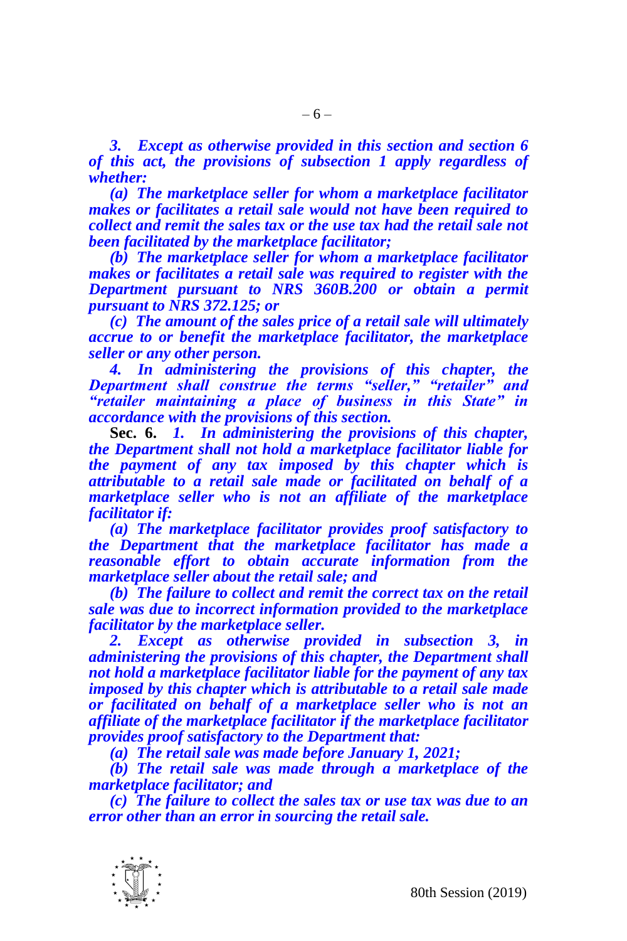*3. Except as otherwise provided in this section and section 6 of this act, the provisions of subsection 1 apply regardless of whether:*

*(a) The marketplace seller for whom a marketplace facilitator makes or facilitates a retail sale would not have been required to collect and remit the sales tax or the use tax had the retail sale not been facilitated by the marketplace facilitator;*

*(b) The marketplace seller for whom a marketplace facilitator makes or facilitates a retail sale was required to register with the Department pursuant to NRS 360B.200 or obtain a permit pursuant to NRS 372.125; or*

*(c) The amount of the sales price of a retail sale will ultimately accrue to or benefit the marketplace facilitator, the marketplace seller or any other person.*

*4. In administering the provisions of this chapter, the Department shall construe the terms "seller," "retailer" and "retailer maintaining a place of business in this State" in accordance with the provisions of this section.*

**Sec. 6.** *1. In administering the provisions of this chapter, the Department shall not hold a marketplace facilitator liable for the payment of any tax imposed by this chapter which is attributable to a retail sale made or facilitated on behalf of a marketplace seller who is not an affiliate of the marketplace facilitator if:*

*(a) The marketplace facilitator provides proof satisfactory to the Department that the marketplace facilitator has made a reasonable effort to obtain accurate information from the marketplace seller about the retail sale; and* 

*(b) The failure to collect and remit the correct tax on the retail sale was due to incorrect information provided to the marketplace facilitator by the marketplace seller.*

*2. Except as otherwise provided in subsection 3, in administering the provisions of this chapter, the Department shall not hold a marketplace facilitator liable for the payment of any tax imposed by this chapter which is attributable to a retail sale made or facilitated on behalf of a marketplace seller who is not an affiliate of the marketplace facilitator if the marketplace facilitator provides proof satisfactory to the Department that:*

*(a) The retail sale was made before January 1, 2021;*

*(b) The retail sale was made through a marketplace of the marketplace facilitator; and* 

*(c) The failure to collect the sales tax or use tax was due to an error other than an error in sourcing the retail sale.*

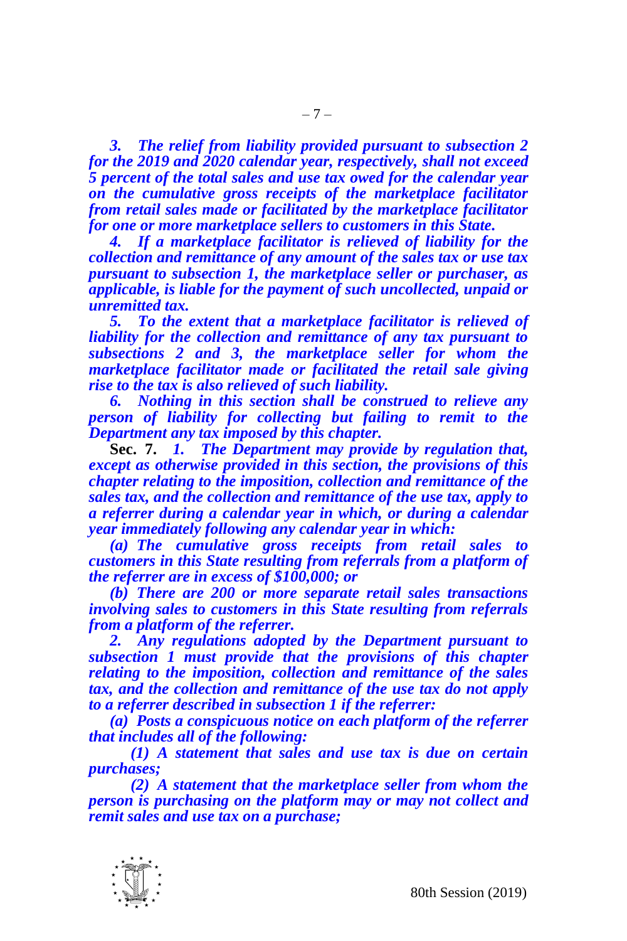*3. The relief from liability provided pursuant to subsection 2 for the 2019 and 2020 calendar year, respectively, shall not exceed 5 percent of the total sales and use tax owed for the calendar year on the cumulative gross receipts of the marketplace facilitator from retail sales made or facilitated by the marketplace facilitator for one or more marketplace sellers to customers in this State.* 

*4. If a marketplace facilitator is relieved of liability for the collection and remittance of any amount of the sales tax or use tax pursuant to subsection 1, the marketplace seller or purchaser, as applicable, is liable for the payment of such uncollected, unpaid or unremitted tax.*

*5. To the extent that a marketplace facilitator is relieved of liability for the collection and remittance of any tax pursuant to subsections 2 and 3, the marketplace seller for whom the marketplace facilitator made or facilitated the retail sale giving rise to the tax is also relieved of such liability.*

*6. Nothing in this section shall be construed to relieve any person of liability for collecting but failing to remit to the Department any tax imposed by this chapter.*

**Sec. 7.** *1. The Department may provide by regulation that, except as otherwise provided in this section, the provisions of this chapter relating to the imposition, collection and remittance of the sales tax, and the collection and remittance of the use tax, apply to a referrer during a calendar year in which, or during a calendar year immediately following any calendar year in which:*

*(a) The cumulative gross receipts from retail sales to customers in this State resulting from referrals from a platform of the referrer are in excess of \$100,000; or*

*(b) There are 200 or more separate retail sales transactions involving sales to customers in this State resulting from referrals from a platform of the referrer.*

*2. Any regulations adopted by the Department pursuant to subsection 1 must provide that the provisions of this chapter relating to the imposition, collection and remittance of the sales tax, and the collection and remittance of the use tax do not apply to a referrer described in subsection 1 if the referrer:*

*(a) Posts a conspicuous notice on each platform of the referrer that includes all of the following:*

*(1) A statement that sales and use tax is due on certain purchases;*

*(2) A statement that the marketplace seller from whom the person is purchasing on the platform may or may not collect and remit sales and use tax on a purchase;*

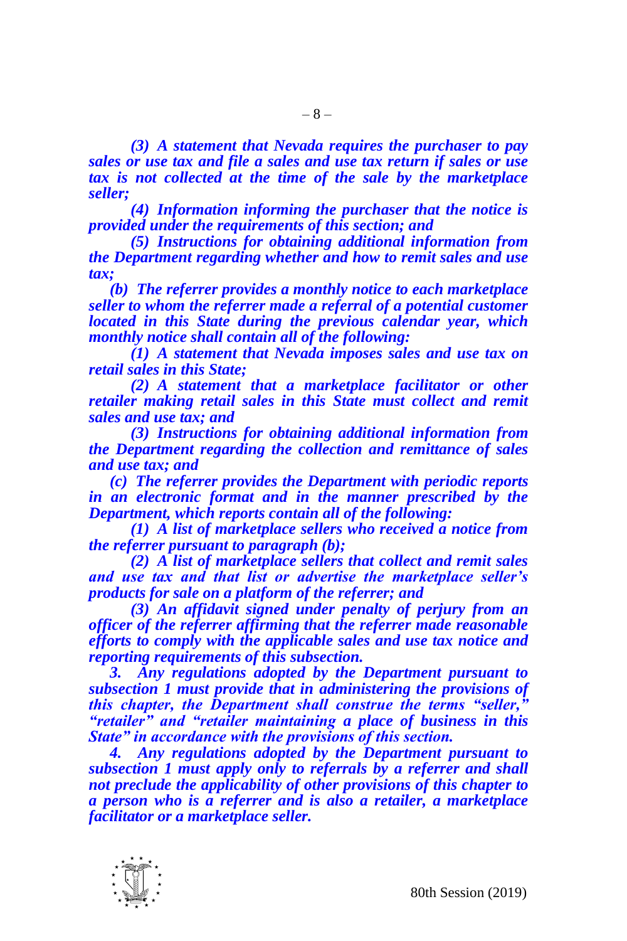*(3) A statement that Nevada requires the purchaser to pay sales or use tax and file a sales and use tax return if sales or use tax is not collected at the time of the sale by the marketplace seller;*

*(4) Information informing the purchaser that the notice is provided under the requirements of this section; and*

*(5) Instructions for obtaining additional information from the Department regarding whether and how to remit sales and use tax;*

*(b) The referrer provides a monthly notice to each marketplace seller to whom the referrer made a referral of a potential customer located in this State during the previous calendar year, which monthly notice shall contain all of the following:*

*(1) A statement that Nevada imposes sales and use tax on retail sales in this State;*

*(2) A statement that a marketplace facilitator or other*  retailer making retail sales in this State must collect and remit *sales and use tax; and*

*(3) Instructions for obtaining additional information from the Department regarding the collection and remittance of sales and use tax; and*

*(c) The referrer provides the Department with periodic reports in an electronic format and in the manner prescribed by the Department, which reports contain all of the following:*

*(1) A list of marketplace sellers who received a notice from the referrer pursuant to paragraph (b);*

*(2) A list of marketplace sellers that collect and remit sales and use tax and that list or advertise the marketplace seller's products for sale on a platform of the referrer; and*

*(3) An affidavit signed under penalty of perjury from an officer of the referrer affirming that the referrer made reasonable efforts to comply with the applicable sales and use tax notice and reporting requirements of this subsection.*

*3. Any regulations adopted by the Department pursuant to subsection 1 must provide that in administering the provisions of this chapter, the Department shall construe the terms "seller," "retailer" and "retailer maintaining a place of business in this State" in accordance with the provisions of this section.*

*4. Any regulations adopted by the Department pursuant to subsection 1 must apply only to referrals by a referrer and shall not preclude the applicability of other provisions of this chapter to a person who is a referrer and is also a retailer, a marketplace facilitator or a marketplace seller.*

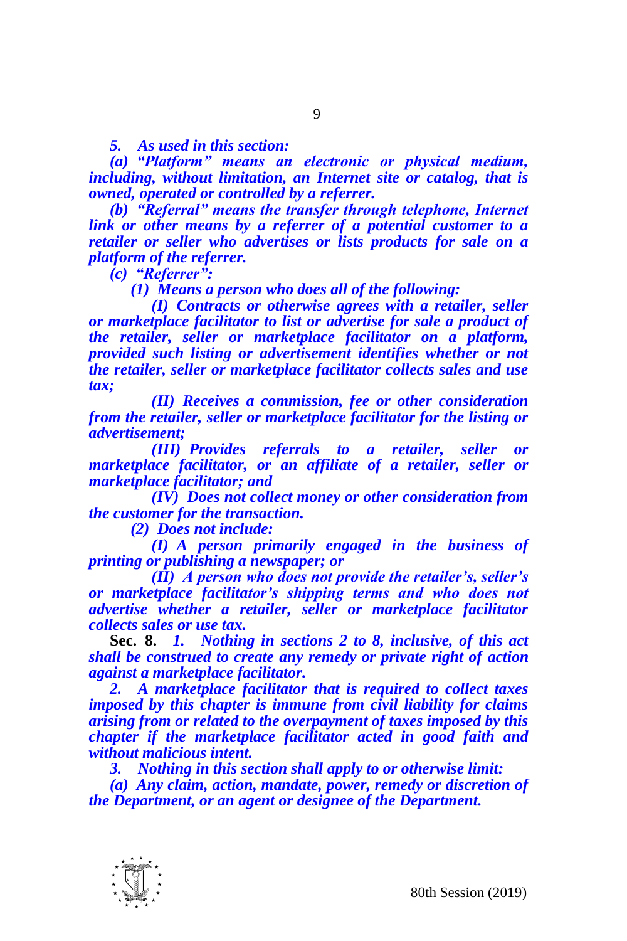*5. As used in this section:*

*(a) "Platform" means an electronic or physical medium, including, without limitation, an Internet site or catalog, that is owned, operated or controlled by a referrer.*

*(b) "Referral" means the transfer through telephone, Internet link or other means by a referrer of a potential customer to a retailer or seller who advertises or lists products for sale on a platform of the referrer.*

*(c) "Referrer":*

*(1) Means a person who does all of the following:*

*(I) Contracts or otherwise agrees with a retailer, seller or marketplace facilitator to list or advertise for sale a product of the retailer, seller or marketplace facilitator on a platform, provided such listing or advertisement identifies whether or not the retailer, seller or marketplace facilitator collects sales and use tax;*

*(II) Receives a commission, fee or other consideration from the retailer, seller or marketplace facilitator for the listing or advertisement;*

*(III) Provides referrals to a retailer, seller or marketplace facilitator, or an affiliate of a retailer, seller or marketplace facilitator; and*

*(IV) Does not collect money or other consideration from the customer for the transaction.*

*(2) Does not include:*

*(I) A person primarily engaged in the business of printing or publishing a newspaper; or*

*(II) A person who does not provide the retailer's, seller's or marketplace facilitator's shipping terms and who does not advertise whether a retailer, seller or marketplace facilitator collects sales or use tax.*

**Sec. 8.** *1. Nothing in sections 2 to 8, inclusive, of this act shall be construed to create any remedy or private right of action against a marketplace facilitator.*

*2. A marketplace facilitator that is required to collect taxes imposed by this chapter is immune from civil liability for claims arising from or related to the overpayment of taxes imposed by this chapter if the marketplace facilitator acted in good faith and without malicious intent.*

*3. Nothing in this section shall apply to or otherwise limit:*

*(a) Any claim, action, mandate, power, remedy or discretion of the Department, or an agent or designee of the Department.*

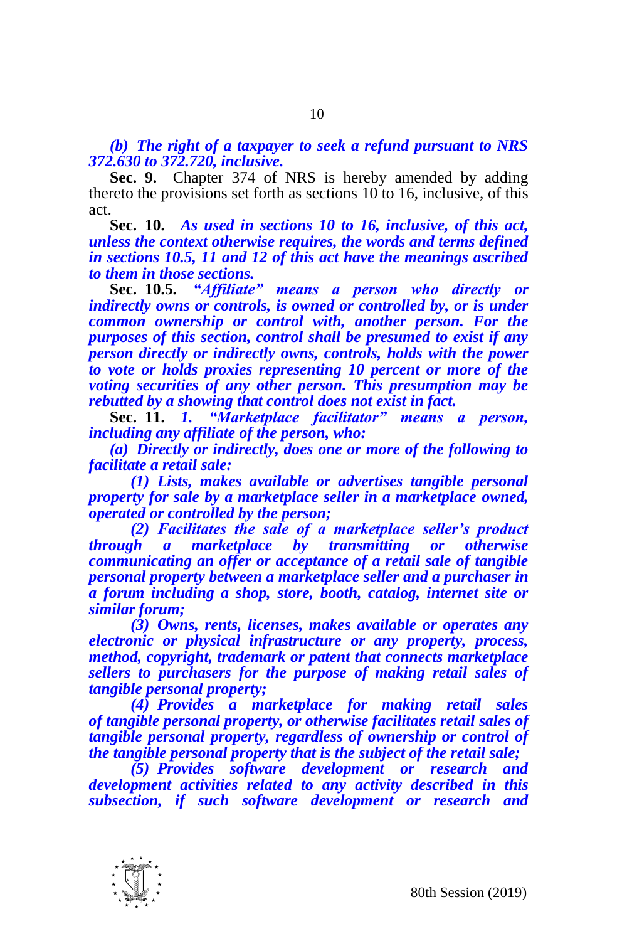*(b) The right of a taxpayer to seek a refund pursuant to NRS 372.630 to 372.720, inclusive.*

**Sec. 9.** Chapter 374 of NRS is hereby amended by adding thereto the provisions set forth as sections 10 to 16, inclusive, of this act.

**Sec. 10.** *As used in sections 10 to 16, inclusive, of this act, unless the context otherwise requires, the words and terms defined in sections 10.5, 11 and 12 of this act have the meanings ascribed to them in those sections.*

**Sec. 10.5.** *"Affiliate" means a person who directly or indirectly owns or controls, is owned or controlled by, or is under common ownership or control with, another person. For the purposes of this section, control shall be presumed to exist if any person directly or indirectly owns, controls, holds with the power to vote or holds proxies representing 10 percent or more of the voting securities of any other person. This presumption may be rebutted by a showing that control does not exist in fact.*

**Sec. 11.** *1. "Marketplace facilitator" means a person, including any affiliate of the person, who:*

*(a) Directly or indirectly, does one or more of the following to facilitate a retail sale:*

*(1) Lists, makes available or advertises tangible personal property for sale by a marketplace seller in a marketplace owned, operated or controlled by the person;*

*(2) Facilitates the sale of a marketplace seller's product through a marketplace by transmitting or otherwise communicating an offer or acceptance of a retail sale of tangible personal property between a marketplace seller and a purchaser in a forum including a shop, store, booth, catalog, internet site or similar forum;* 

*(3) Owns, rents, licenses, makes available or operates any electronic or physical infrastructure or any property, process, method, copyright, trademark or patent that connects marketplace sellers to purchasers for the purpose of making retail sales of tangible personal property;*

*(4) Provides a marketplace for making retail sales of tangible personal property, or otherwise facilitates retail sales of tangible personal property, regardless of ownership or control of the tangible personal property that is the subject of the retail sale;*

*(5) Provides software development or research and development activities related to any activity described in this subsection, if such software development or research and* 

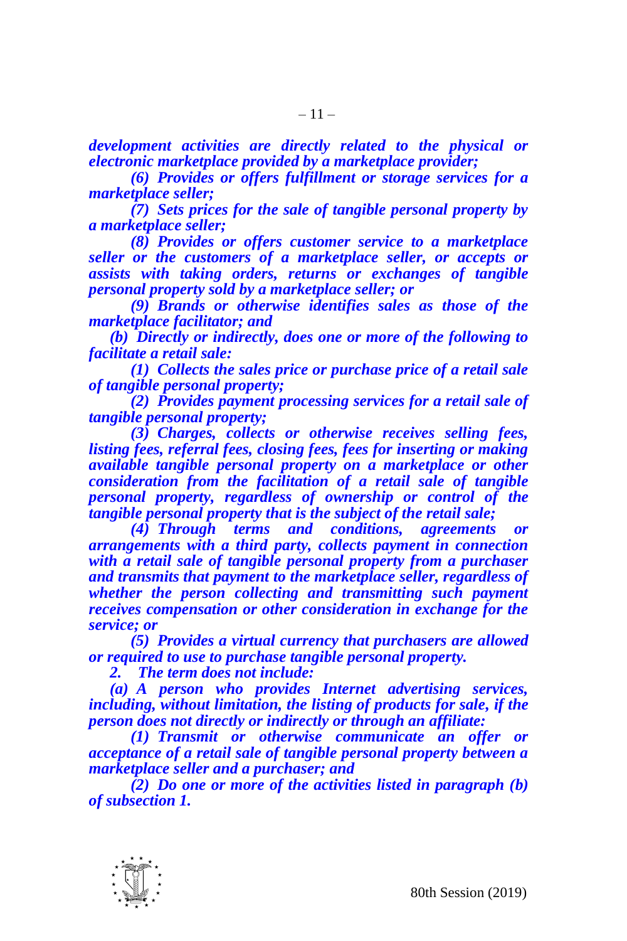*development activities are directly related to the physical or electronic marketplace provided by a marketplace provider;*

*(6) Provides or offers fulfillment or storage services for a marketplace seller;*

*(7) Sets prices for the sale of tangible personal property by a marketplace seller;*

*(8) Provides or offers customer service to a marketplace seller or the customers of a marketplace seller, or accepts or assists with taking orders, returns or exchanges of tangible personal property sold by a marketplace seller; or*

*(9) Brands or otherwise identifies sales as those of the marketplace facilitator; and*

*(b) Directly or indirectly, does one or more of the following to facilitate a retail sale:*

*(1) Collects the sales price or purchase price of a retail sale of tangible personal property;*

*(2) Provides payment processing services for a retail sale of tangible personal property;*

*(3) Charges, collects or otherwise receives selling fees, listing fees, referral fees, closing fees, fees for inserting or making available tangible personal property on a marketplace or other consideration from the facilitation of a retail sale of tangible personal property, regardless of ownership or control of the tangible personal property that is the subject of the retail sale;*

*(4) Through terms and conditions, agreements or arrangements with a third party, collects payment in connection with a retail sale of tangible personal property from a purchaser and transmits that payment to the marketplace seller, regardless of whether the person collecting and transmitting such payment receives compensation or other consideration in exchange for the service; or*

*(5) Provides a virtual currency that purchasers are allowed or required to use to purchase tangible personal property.*

*2. The term does not include:*

*(a) A person who provides Internet advertising services, including, without limitation, the listing of products for sale, if the person does not directly or indirectly or through an affiliate:*

*(1) Transmit or otherwise communicate an offer or acceptance of a retail sale of tangible personal property between a marketplace seller and a purchaser; and*

*(2) Do one or more of the activities listed in paragraph (b) of subsection 1.*

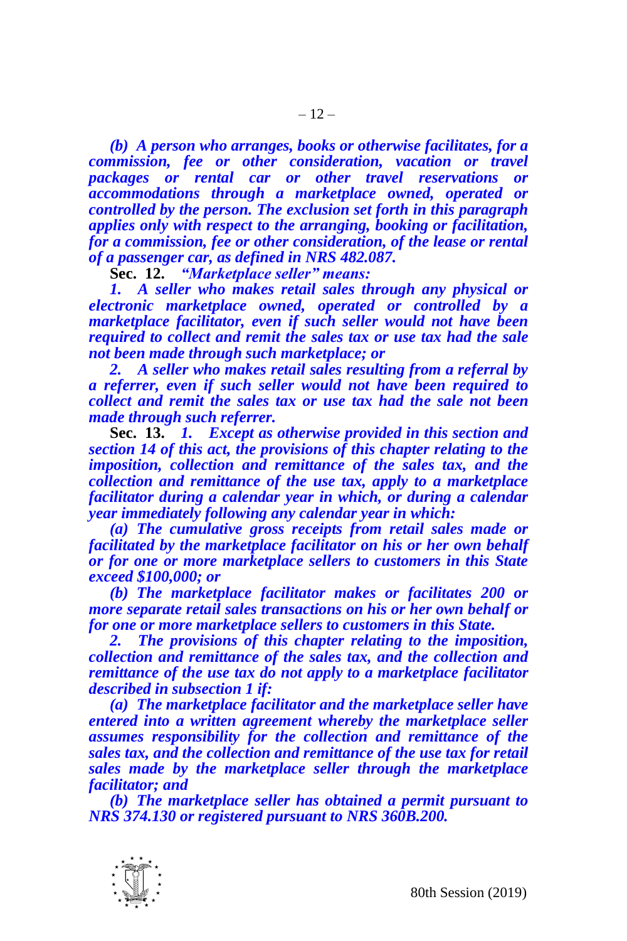*(b) A person who arranges, books or otherwise facilitates, for a commission, fee or other consideration, vacation or travel packages or rental car or other travel reservations or accommodations through a marketplace owned, operated or controlled by the person. The exclusion set forth in this paragraph applies only with respect to the arranging, booking or facilitation, for a commission, fee or other consideration, of the lease or rental of a passenger car, as defined in NRS 482.087.*

**Sec. 12.** *"Marketplace seller" means:*

*1. A seller who makes retail sales through any physical or electronic marketplace owned, operated or controlled by a marketplace facilitator, even if such seller would not have been required to collect and remit the sales tax or use tax had the sale not been made through such marketplace; or*

*2. A seller who makes retail sales resulting from a referral by a referrer, even if such seller would not have been required to collect and remit the sales tax or use tax had the sale not been made through such referrer.*

**Sec. 13.** *1. Except as otherwise provided in this section and section 14 of this act, the provisions of this chapter relating to the imposition, collection and remittance of the sales tax, and the collection and remittance of the use tax, apply to a marketplace facilitator during a calendar year in which, or during a calendar year immediately following any calendar year in which:*

*(a) The cumulative gross receipts from retail sales made or facilitated by the marketplace facilitator on his or her own behalf or for one or more marketplace sellers to customers in this State exceed \$100,000; or*

*(b) The marketplace facilitator makes or facilitates 200 or more separate retail sales transactions on his or her own behalf or for one or more marketplace sellers to customers in this State.*

*2. The provisions of this chapter relating to the imposition, collection and remittance of the sales tax, and the collection and remittance of the use tax do not apply to a marketplace facilitator described in subsection 1 if:*

*(a) The marketplace facilitator and the marketplace seller have entered into a written agreement whereby the marketplace seller assumes responsibility for the collection and remittance of the sales tax, and the collection and remittance of the use tax for retail sales made by the marketplace seller through the marketplace facilitator; and*

*(b) The marketplace seller has obtained a permit pursuant to NRS 374.130 or registered pursuant to NRS 360B.200.*

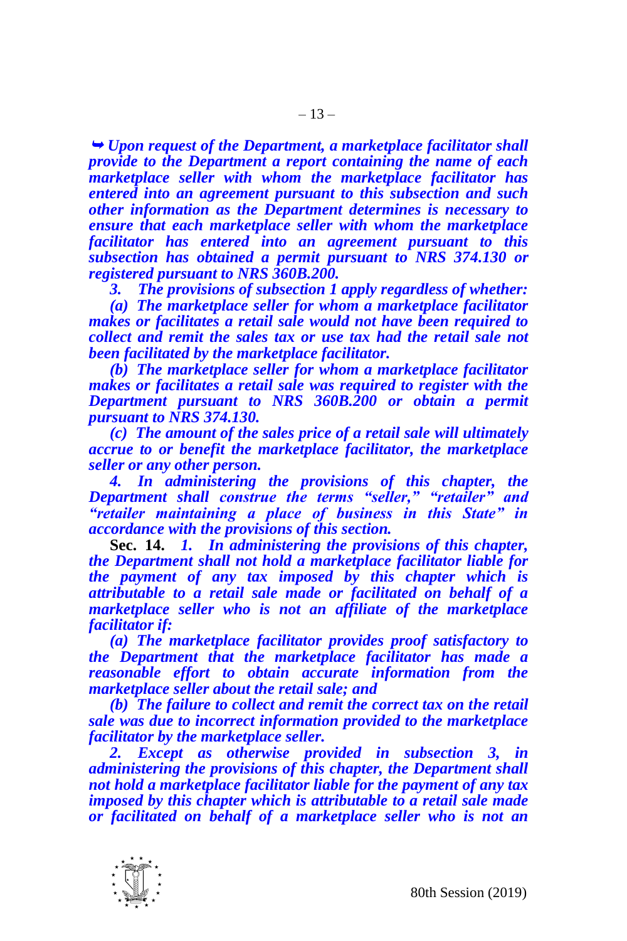*Upon request of the Department, a marketplace facilitator shall provide to the Department a report containing the name of each marketplace seller with whom the marketplace facilitator has entered into an agreement pursuant to this subsection and such other information as the Department determines is necessary to ensure that each marketplace seller with whom the marketplace facilitator has entered into an agreement pursuant to this subsection has obtained a permit pursuant to NRS 374.130 or registered pursuant to NRS 360B.200.*

*3. The provisions of subsection 1 apply regardless of whether:*

*(a) The marketplace seller for whom a marketplace facilitator makes or facilitates a retail sale would not have been required to collect and remit the sales tax or use tax had the retail sale not been facilitated by the marketplace facilitator.*

*(b) The marketplace seller for whom a marketplace facilitator makes or facilitates a retail sale was required to register with the Department pursuant to NRS 360B.200 or obtain a permit pursuant to NRS 374.130.*

*(c) The amount of the sales price of a retail sale will ultimately accrue to or benefit the marketplace facilitator, the marketplace seller or any other person.*

*4. In administering the provisions of this chapter, the Department shall construe the terms "seller," "retailer" and "retailer maintaining a place of business in this State" in accordance with the provisions of this section.*

**Sec. 14.** *1. In administering the provisions of this chapter, the Department shall not hold a marketplace facilitator liable for the payment of any tax imposed by this chapter which is attributable to a retail sale made or facilitated on behalf of a marketplace seller who is not an affiliate of the marketplace facilitator if:*

*(a) The marketplace facilitator provides proof satisfactory to the Department that the marketplace facilitator has made a reasonable effort to obtain accurate information from the marketplace seller about the retail sale; and* 

*(b) The failure to collect and remit the correct tax on the retail sale was due to incorrect information provided to the marketplace facilitator by the marketplace seller.*

*2. Except as otherwise provided in subsection 3, in administering the provisions of this chapter, the Department shall not hold a marketplace facilitator liable for the payment of any tax imposed by this chapter which is attributable to a retail sale made or facilitated on behalf of a marketplace seller who is not an* 

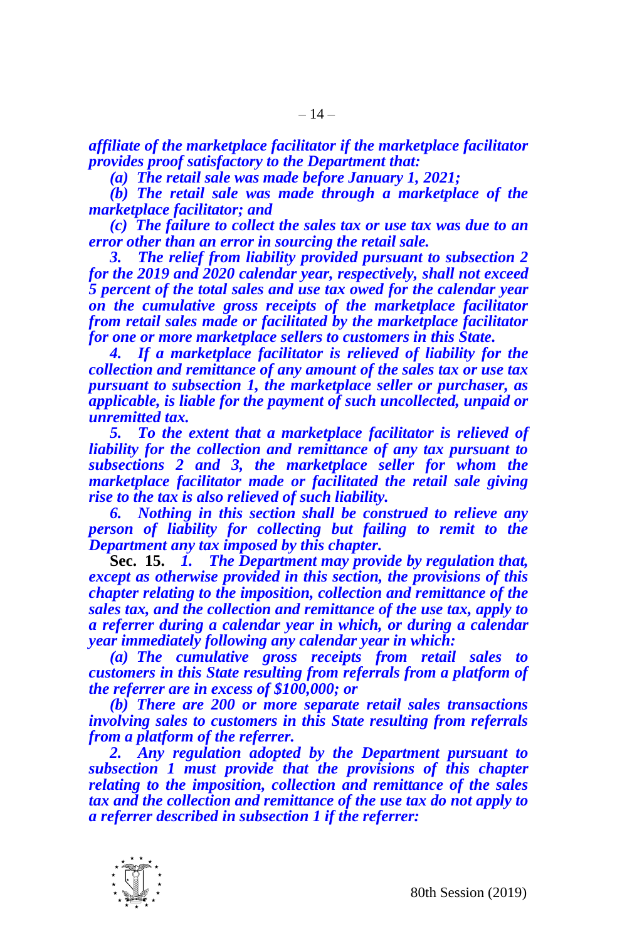*affiliate of the marketplace facilitator if the marketplace facilitator provides proof satisfactory to the Department that:*

*(a) The retail sale was made before January 1, 2021;*

*(b) The retail sale was made through a marketplace of the marketplace facilitator; and* 

*(c) The failure to collect the sales tax or use tax was due to an error other than an error in sourcing the retail sale.*

*3. The relief from liability provided pursuant to subsection 2 for the 2019 and 2020 calendar year, respectively, shall not exceed 5 percent of the total sales and use tax owed for the calendar year on the cumulative gross receipts of the marketplace facilitator from retail sales made or facilitated by the marketplace facilitator for one or more marketplace sellers to customers in this State.* 

*4. If a marketplace facilitator is relieved of liability for the collection and remittance of any amount of the sales tax or use tax pursuant to subsection 1, the marketplace seller or purchaser, as applicable, is liable for the payment of such uncollected, unpaid or unremitted tax.*

*5. To the extent that a marketplace facilitator is relieved of liability for the collection and remittance of any tax pursuant to subsections 2 and 3, the marketplace seller for whom the marketplace facilitator made or facilitated the retail sale giving rise to the tax is also relieved of such liability.*

*6. Nothing in this section shall be construed to relieve any person of liability for collecting but failing to remit to the Department any tax imposed by this chapter.*

**Sec. 15.** *1. The Department may provide by regulation that, except as otherwise provided in this section, the provisions of this chapter relating to the imposition, collection and remittance of the sales tax, and the collection and remittance of the use tax, apply to a referrer during a calendar year in which, or during a calendar year immediately following any calendar year in which:*

*(a) The cumulative gross receipts from retail sales to customers in this State resulting from referrals from a platform of the referrer are in excess of \$100,000; or*

*(b) There are 200 or more separate retail sales transactions involving sales to customers in this State resulting from referrals from a platform of the referrer.*

*2. Any regulation adopted by the Department pursuant to subsection 1 must provide that the provisions of this chapter relating to the imposition, collection and remittance of the sales tax and the collection and remittance of the use tax do not apply to a referrer described in subsection 1 if the referrer:*

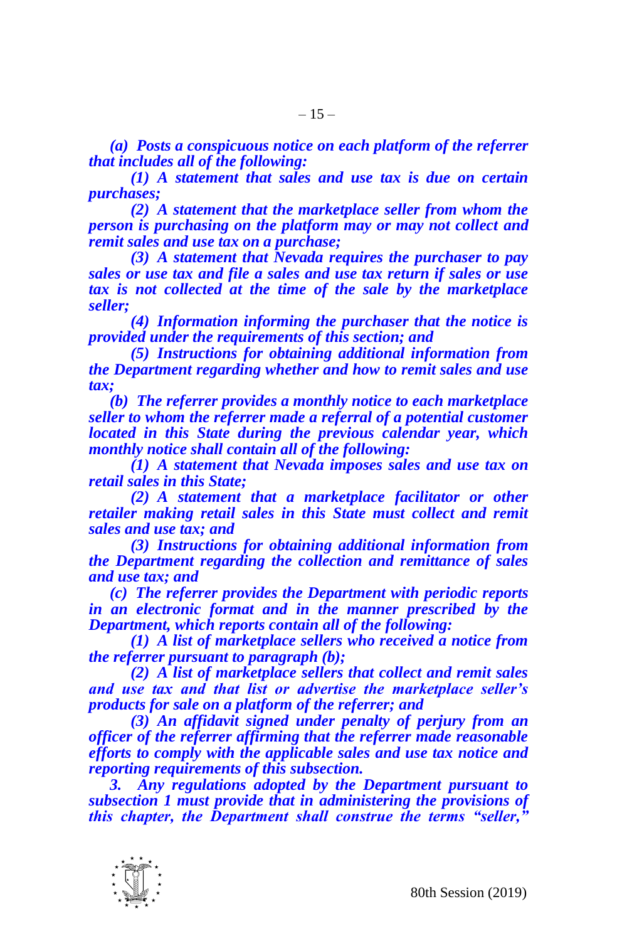*(a) Posts a conspicuous notice on each platform of the referrer that includes all of the following:*

*(1) A statement that sales and use tax is due on certain purchases;*

*(2) A statement that the marketplace seller from whom the person is purchasing on the platform may or may not collect and remit sales and use tax on a purchase;*

*(3) A statement that Nevada requires the purchaser to pay sales or use tax and file a sales and use tax return if sales or use tax is not collected at the time of the sale by the marketplace seller;*

*(4) Information informing the purchaser that the notice is provided under the requirements of this section; and*

*(5) Instructions for obtaining additional information from the Department regarding whether and how to remit sales and use tax;*

*(b) The referrer provides a monthly notice to each marketplace seller to whom the referrer made a referral of a potential customer located in this State during the previous calendar year, which monthly notice shall contain all of the following:*

*(1) A statement that Nevada imposes sales and use tax on retail sales in this State;*

*(2) A statement that a marketplace facilitator or other*  retailer making retail sales in this State must collect and remit *sales and use tax; and*

*(3) Instructions for obtaining additional information from the Department regarding the collection and remittance of sales and use tax; and*

*(c) The referrer provides the Department with periodic reports in an electronic format and in the manner prescribed by the Department, which reports contain all of the following:*

*(1) A list of marketplace sellers who received a notice from the referrer pursuant to paragraph (b);*

*(2) A list of marketplace sellers that collect and remit sales and use tax and that list or advertise the marketplace seller's products for sale on a platform of the referrer; and*

*(3) An affidavit signed under penalty of perjury from an officer of the referrer affirming that the referrer made reasonable efforts to comply with the applicable sales and use tax notice and reporting requirements of this subsection.*

*3. Any regulations adopted by the Department pursuant to subsection 1 must provide that in administering the provisions of this chapter, the Department shall construe the terms "seller,"* 

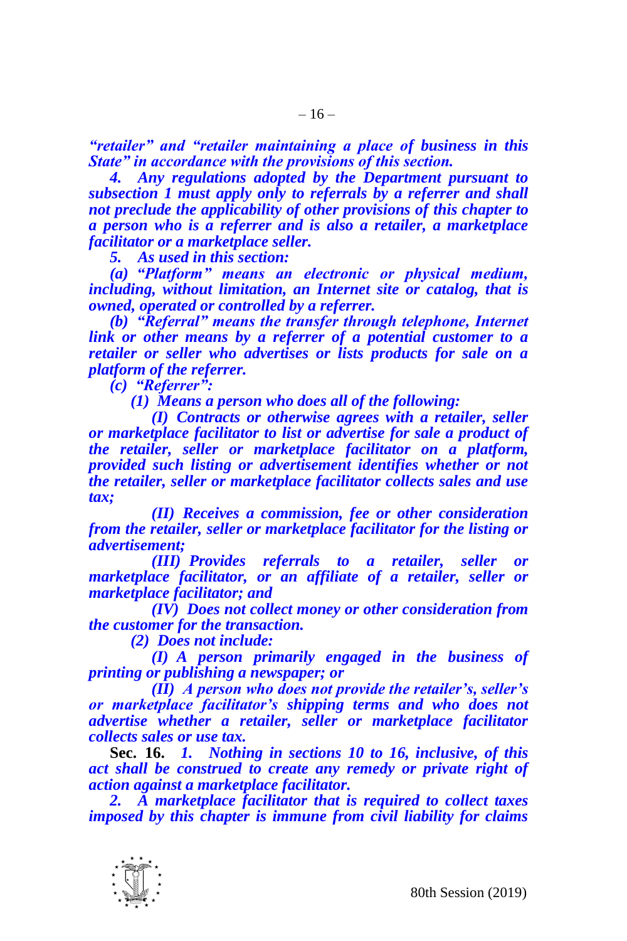*"retailer" and "retailer maintaining a place of business in this State" in accordance with the provisions of this section.*

*4. Any regulations adopted by the Department pursuant to subsection 1 must apply only to referrals by a referrer and shall not preclude the applicability of other provisions of this chapter to a person who is a referrer and is also a retailer, a marketplace facilitator or a marketplace seller.*

*5. As used in this section:*

*(a) "Platform" means an electronic or physical medium, including, without limitation, an Internet site or catalog, that is owned, operated or controlled by a referrer.*

*(b) "Referral" means the transfer through telephone, Internet link or other means by a referrer of a potential customer to a retailer or seller who advertises or lists products for sale on a platform of the referrer.*

*(c) "Referrer":*

*(1) Means a person who does all of the following:*

*(I) Contracts or otherwise agrees with a retailer, seller or marketplace facilitator to list or advertise for sale a product of the retailer, seller or marketplace facilitator on a platform, provided such listing or advertisement identifies whether or not the retailer, seller or marketplace facilitator collects sales and use tax;*

*(II) Receives a commission, fee or other consideration from the retailer, seller or marketplace facilitator for the listing or advertisement;*

*(III) Provides referrals to a retailer, seller or marketplace facilitator, or an affiliate of a retailer, seller or marketplace facilitator; and*

*(IV) Does not collect money or other consideration from the customer for the transaction.*

*(2) Does not include:*

*(I) A person primarily engaged in the business of printing or publishing a newspaper; or*

*(II) A person who does not provide the retailer's, seller's or marketplace facilitator's shipping terms and who does not advertise whether a retailer, seller or marketplace facilitator collects sales or use tax.*

**Sec. 16.** *1. Nothing in sections 10 to 16, inclusive, of this act shall be construed to create any remedy or private right of action against a marketplace facilitator.*

*2. A marketplace facilitator that is required to collect taxes imposed by this chapter is immune from civil liability for claims*